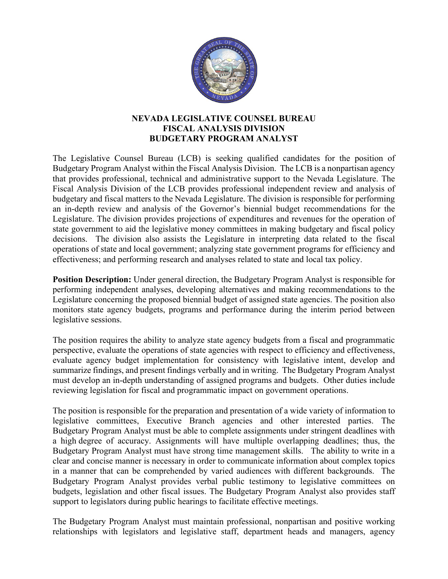

## **NEVADA LEGISLATIVE COUNSEL BUREAU FISCAL ANALYSIS DIVISION BUDGETARY PROGRAM ANALYST**

The Legislative Counsel Bureau (LCB) is seeking qualified candidates for the position of Budgetary Program Analyst within the Fiscal Analysis Division. The LCB is a nonpartisan agency that provides professional, technical and administrative support to the Nevada Legislature. The Fiscal Analysis Division of the LCB provides professional independent review and analysis of budgetary and fiscal matters to the Nevada Legislature. The division is responsible for performing an in-depth review and analysis of the Governor's biennial budget recommendations for the Legislature. The division provides projections of expenditures and revenues for the operation of state government to aid the legislative money committees in making budgetary and fiscal policy decisions. The division also assists the Legislature in interpreting data related to the fiscal operations of state and local government; analyzing state government programs for efficiency and effectiveness; and performing research and analyses related to state and local tax policy.

**Position Description:** Under general direction, the Budgetary Program Analyst is responsible for performing independent analyses, developing alternatives and making recommendations to the Legislature concerning the proposed biennial budget of assigned state agencies. The position also monitors state agency budgets, programs and performance during the interim period between legislative sessions.

The position requires the ability to analyze state agency budgets from a fiscal and programmatic perspective, evaluate the operations of state agencies with respect to efficiency and effectiveness, evaluate agency budget implementation for consistency with legislative intent, develop and summarize findings, and present findings verbally and in writing. The Budgetary Program Analyst must develop an in-depth understanding of assigned programs and budgets. Other duties include reviewing legislation for fiscal and programmatic impact on government operations.

The position is responsible for the preparation and presentation of a wide variety of information to legislative committees, Executive Branch agencies and other interested parties. The Budgetary Program Analyst must be able to complete assignments under stringent deadlines with a high degree of accuracy. Assignments will have multiple overlapping deadlines; thus, the Budgetary Program Analyst must have strong time management skills. The ability to write in a clear and concise manner is necessary in order to communicate information about complex topics in a manner that can be comprehended by varied audiences with different backgrounds. The Budgetary Program Analyst provides verbal public testimony to legislative committees on budgets, legislation and other fiscal issues. The Budgetary Program Analyst also provides staff support to legislators during public hearings to facilitate effective meetings.

The Budgetary Program Analyst must maintain professional, nonpartisan and positive working relationships with legislators and legislative staff, department heads and managers, agency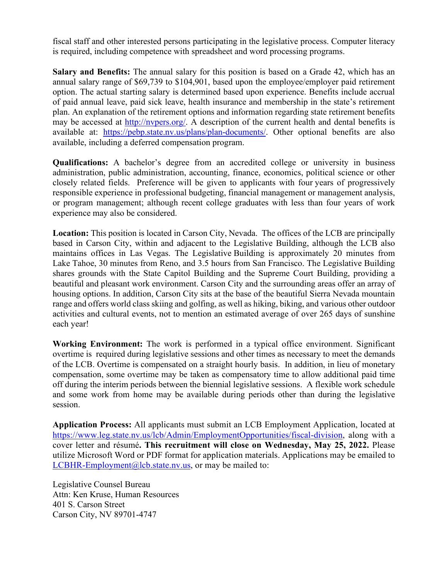fiscal staff and other interested persons participating in the legislative process. Computer literacy is required, including competence with spreadsheet and word processing programs.

**Salary and Benefits:** The annual salary for this position is based on a Grade 42, which has an annual salary range of \$69,739 to \$104,901, based upon the employee/employer paid retirement option. The actual starting salary is determined based upon experience. Benefits include accrual of paid annual leave, paid sick leave, health insurance and membership in the state's retirement plan. An explanation of the retirement options and information regarding state retirement benefits may be accessed at [http://nvpers.org/.](http://nvpers.org/) A description of the current health and dental benefits is available at: [https://pebp.state.nv.us/plans/plan-documents/.](https://pebp.state.nv.us/plans/plan-documents/) Other optional benefits are also available, including a deferred compensation program.

**Qualifications:** A bachelor's degree from an accredited college or university in business administration, public administration, accounting, finance, economics, political science or other closely related fields. Preference will be given to applicants with four years of progressively responsible experience in professional budgeting, financial management or management analysis, or program management; although recent college graduates with less than four years of work experience may also be considered.

**Location:** This position is located in Carson City, Nevada. The offices of the LCB are principally based in Carson City, within and adjacent to the Legislative Building, although the LCB also maintains offices in Las Vegas. The Legislative Building is approximately 20 minutes from Lake Tahoe, 30 minutes from Reno, and 3.5 hours from San Francisco. The Legislative Building shares grounds with the State Capitol Building and the Supreme Court Building, providing a beautiful and pleasant work environment. Carson City and the surrounding areas offer an array of housing options. In addition, Carson City sits at the base of the beautiful Sierra Nevada mountain range and offers world class skiing and golfing, as well as hiking, biking, and various other outdoor activities and cultural events, not to mention an estimated average of over 265 days of sunshine each year!

**Working Environment:** The work is performed in a typical office environment. Significant overtime is required during legislative sessions and other times as necessary to meet the demands of the LCB. Overtime is compensated on a straight hourly basis. In addition, in lieu of monetary compensation, some overtime may be taken as compensatory time to allow additional paid time off during the interim periods between the biennial legislative sessions. A flexible work schedule and some work from home may be available during periods other than during the legislative session.

**Application Process:** All applicants must submit an LCB Employment Application, located at [https://www.leg.state.nv.us/lcb/Admin/EmploymentOpportunities/fiscal-division,](https://www.leg.state.nv.us/lcb/Admin/EmploymentOpportunities/fiscal-division) along with a cover letter and résumé**. This recruitment will close on Wednesday, May 25, 2022.** Please utilize Microsoft Word or PDF format for application materials. Applications may be emailed to [LCBHR-Employment@lcb.state.nv.us,](mailto:LCBHR-Employment@lcb.state.nv.us) or may be mailed to:

Legislative Counsel Bureau Attn: Ken Kruse, Human Resources 401 S. Carson Street Carson City, NV 89701-4747